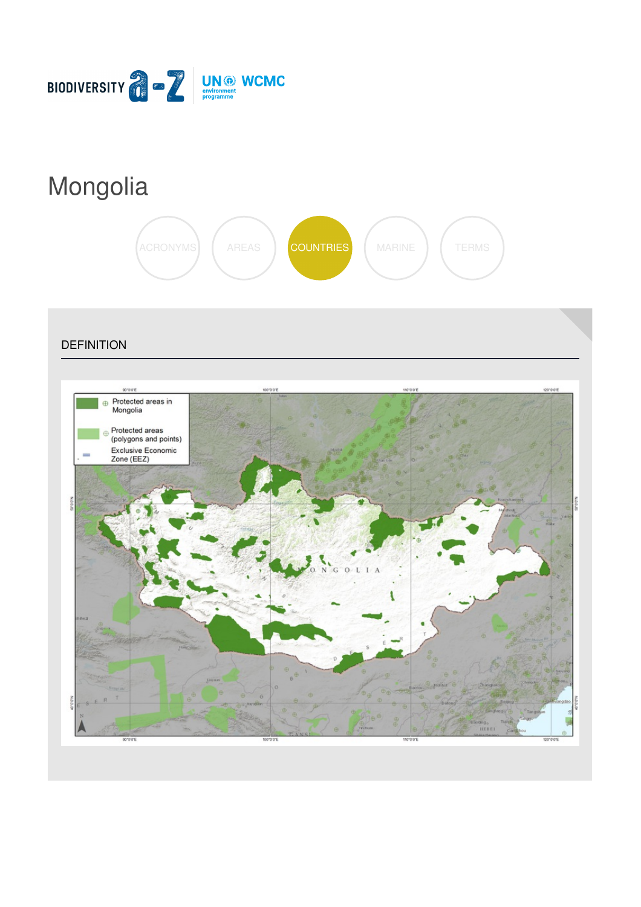

# [Mongolia](https://biodiversitya-z.org/content/mongolia)



**DEFINITION** 

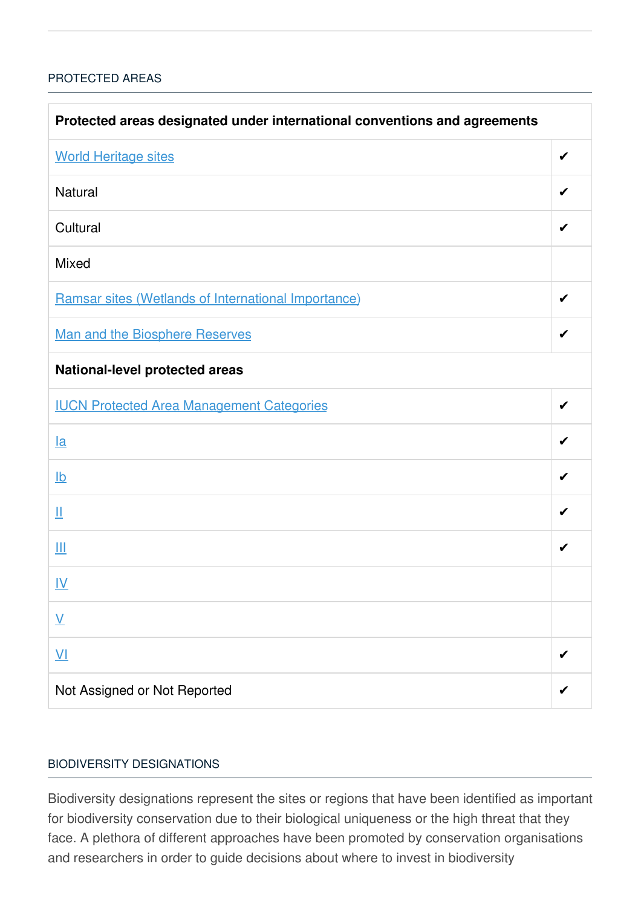# [PROTECTED](javascript:void(0)) AREAS

| Protected areas designated under international conventions and agreements |   |  |
|---------------------------------------------------------------------------|---|--|
| <b>World Heritage sites</b>                                               | ✔ |  |
| Natural                                                                   | ✔ |  |
| Cultural                                                                  | ✔ |  |
| <b>Mixed</b>                                                              |   |  |
| Ramsar sites (Wetlands of International Importance)                       | ✔ |  |
| <b>Man and the Biosphere Reserves</b>                                     | ✔ |  |
| National-level protected areas                                            |   |  |
| <b>IUCN Protected Area Management Categories</b>                          | ✔ |  |
| $l$ a                                                                     | ✔ |  |
| $\underline{\mathsf{lb}}$                                                 | ✔ |  |
| Щ                                                                         | ✔ |  |
| Ш                                                                         | ✔ |  |
| <u>IV</u>                                                                 |   |  |
| $\underline{\mathsf{V}}$                                                  |   |  |
| $\underline{V}$                                                           |   |  |
| Not Assigned or Not Reported                                              |   |  |

### BIODIVERSITY [DESIGNATIONS](javascript:void(0))

Biodiversity designations represent the sites or regions that have been identified as important for biodiversity conservation due to their biological uniqueness or the high threat that they face. A plethora of different approaches have been promoted by conservation organisations and researchers in order to guide decisions about where to invest in biodiversity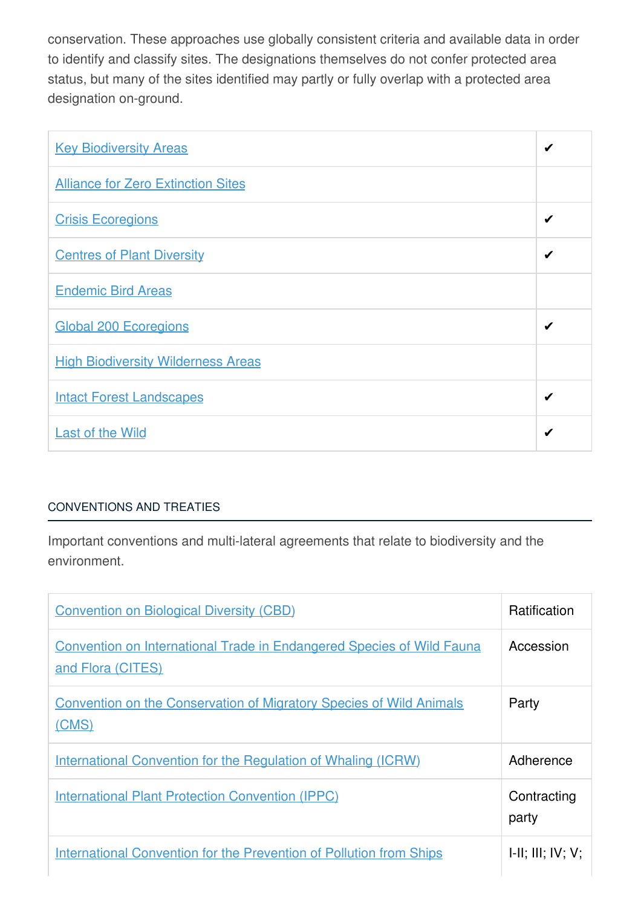conservation. These approaches use globally consistent criteria and available data in order to identify and classify sites. The designations themselves do not confer protected area status, but many of the sites identified may partly or fully overlap with a protected area designation on-ground.

| <b>Key Biodiversity Areas</b>             | ✔ |
|-------------------------------------------|---|
| <b>Alliance for Zero Extinction Sites</b> |   |
| <b>Crisis Ecoregions</b>                  | ✔ |
| <b>Centres of Plant Diversity</b>         | ✔ |
| <b>Endemic Bird Areas</b>                 |   |
| <b>Global 200 Ecoregions</b>              | ✔ |
| <b>High Biodiversity Wilderness Areas</b> |   |
| <b>Intact Forest Landscapes</b>           | ✔ |
| <b>Last of the Wild</b>                   | ✔ |

# [CONVENTIONS](javascript:void(0)) AND TREATIES

Important conventions and multi-lateral agreements that relate to biodiversity and the environment.

| <b>Convention on Biological Diversity (CBD)</b>                                                   | <b>Ratification</b>  |
|---------------------------------------------------------------------------------------------------|----------------------|
| <b>Convention on International Trade in Endangered Species of Wild Fauna</b><br>and Flora (CITES) | Accession            |
| <b>Convention on the Conservation of Migratory Species of Wild Animals</b><br>(CMS)               | Party                |
| International Convention for the Regulation of Whaling (ICRW)                                     | Adherence            |
| <b>International Plant Protection Convention (IPPC)</b>                                           | Contracting<br>party |
| <b>International Convention for the Prevention of Pollution from Ships</b>                        | H: III; IV; V;       |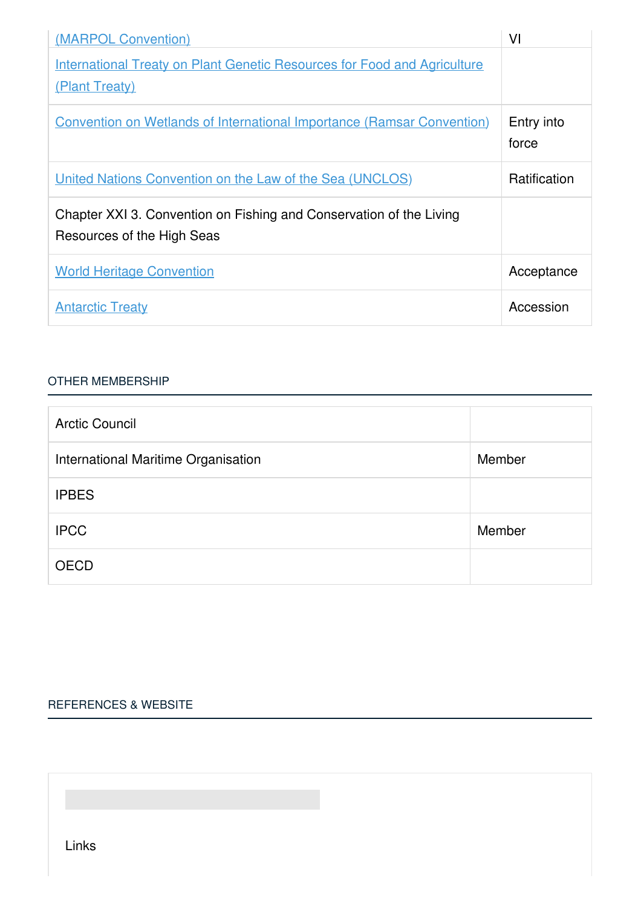| (MARPOL Convention)                                                                               | VI                  |
|---------------------------------------------------------------------------------------------------|---------------------|
| <b>International Treaty on Plant Genetic Resources for Food and Agriculture</b><br>(Plant Treaty) |                     |
| <b>Convention on Wetlands of International Importance (Ramsar Convention)</b>                     | Entry into<br>force |
| United Nations Convention on the Law of the Sea (UNCLOS)                                          | <b>Ratification</b> |
| Chapter XXI 3. Convention on Fishing and Conservation of the Living<br>Resources of the High Seas |                     |
| <b>World Heritage Convention</b>                                                                  | Acceptance          |
| <b>Antarctic Treaty</b>                                                                           | Accession           |

#### OTHER [MEMBERSHIP](javascript:void(0))

| <b>Arctic Council</b>               |        |
|-------------------------------------|--------|
| International Maritime Organisation | Member |
| <b>IPBES</b>                        |        |
| <b>IPCC</b>                         | Member |
| <b>OECD</b>                         |        |

# [REFERENCES](javascript:void(0)) & WEBSITE

Links